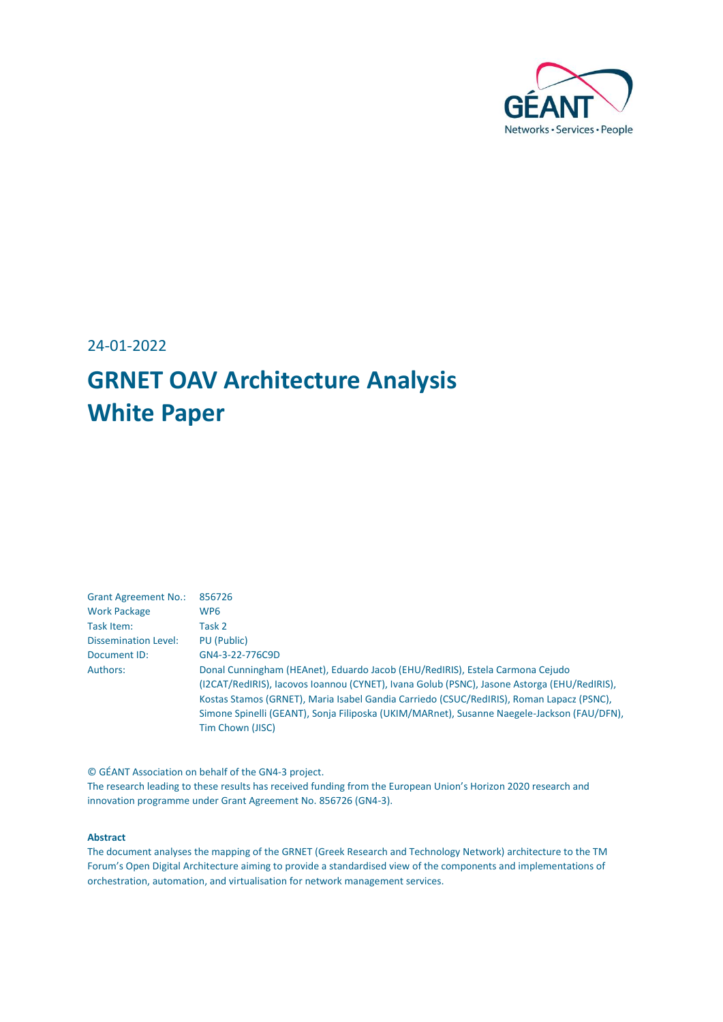

24-01-2022

## **GRNET OAV Architecture Analysis White Paper**

| <b>Grant Agreement No.:</b> | 856726                                                                                                                                                                                                                                                                                                                                                                                     |
|-----------------------------|--------------------------------------------------------------------------------------------------------------------------------------------------------------------------------------------------------------------------------------------------------------------------------------------------------------------------------------------------------------------------------------------|
| <b>Work Package</b>         | WP <sub>6</sub>                                                                                                                                                                                                                                                                                                                                                                            |
| Task Item:                  | Task 2                                                                                                                                                                                                                                                                                                                                                                                     |
| <b>Dissemination Level:</b> | PU (Public)                                                                                                                                                                                                                                                                                                                                                                                |
| Document ID:                | GN4-3-22-776C9D                                                                                                                                                                                                                                                                                                                                                                            |
| Authors:                    | Donal Cunningham (HEAnet), Eduardo Jacob (EHU/RedIRIS), Estela Carmona Cejudo<br>(I2CAT/RedIRIS), Iacovos Ioannou (CYNET), Ivana Golub (PSNC), Jasone Astorga (EHU/RedIRIS),<br>Kostas Stamos (GRNET), Maria Isabel Gandia Carriedo (CSUC/RedIRIS), Roman Lapacz (PSNC),<br>Simone Spinelli (GEANT), Sonja Filiposka (UKIM/MARnet), Susanne Naegele-Jackson (FAU/DFN),<br>Tim Chown (JISC) |

© GÉANT Association on behalf of the GN4-3 project.

The research leading to these results has received funding from the European Union's Horizon 2020 research and innovation programme under Grant Agreement No. 856726 (GN4-3).

#### **Abstract**

The document analyses the mapping of the GRNET (Greek Research and Technology Network) architecture to the TM Forum's Open Digital Architecture aiming to provide a standardised view of the components and implementations of orchestration, automation, and virtualisation for network management services.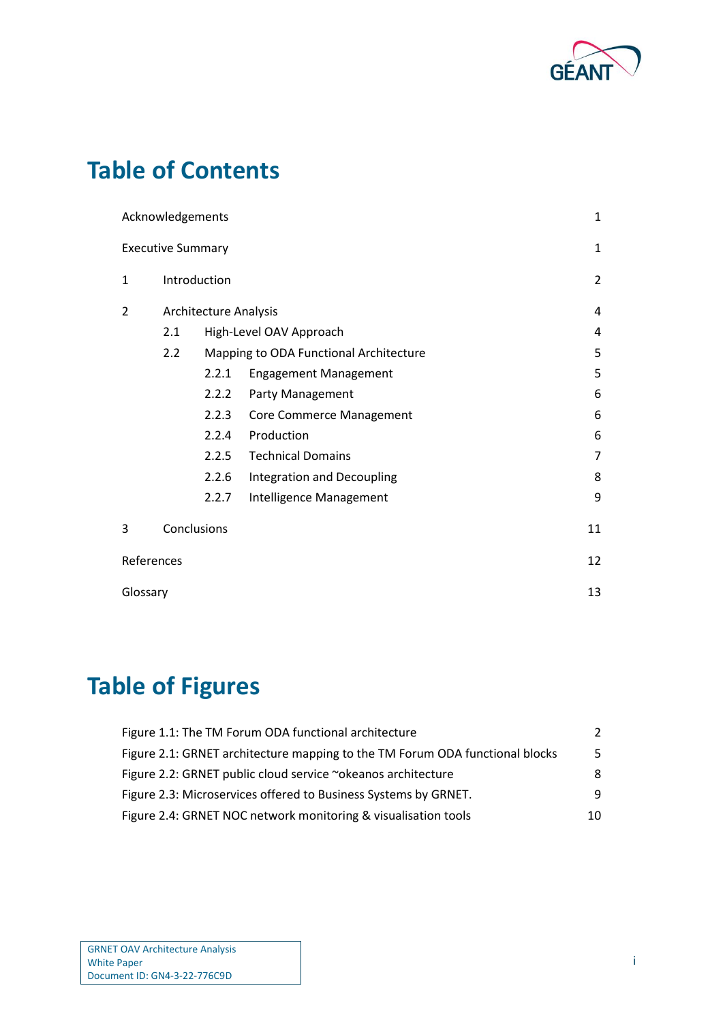

### **Table of Contents**

|              | Acknowledgements         |                              |                                        | 1  |  |
|--------------|--------------------------|------------------------------|----------------------------------------|----|--|
|              | <b>Executive Summary</b> |                              |                                        | 1  |  |
| $\mathbf{1}$ |                          | Introduction                 |                                        |    |  |
| 2            |                          | <b>Architecture Analysis</b> |                                        |    |  |
|              | 2.1                      |                              | High-Level OAV Approach                | 4  |  |
|              | 2.2                      |                              | Mapping to ODA Functional Architecture | 5  |  |
|              |                          | 2.2.1                        | <b>Engagement Management</b>           | 5  |  |
|              |                          | 2.2.2                        | Party Management                       | 6  |  |
|              |                          | 2.2.3                        | <b>Core Commerce Management</b>        | 6  |  |
|              |                          | 2.2.4                        | Production                             | 6  |  |
|              |                          | 2.2.5                        | <b>Technical Domains</b>               | 7  |  |
|              |                          | 2.2.6                        | Integration and Decoupling             | 8  |  |
|              |                          | 2.2.7                        | Intelligence Management                | 9  |  |
| 3            |                          | Conclusions                  |                                        | 11 |  |
| References   |                          |                              |                                        | 12 |  |
| Glossary     |                          |                              |                                        | 13 |  |

## **Table of Figures**

| Figure 1.1: The TM Forum ODA functional architecture                         | $\mathcal{L}$ |
|------------------------------------------------------------------------------|---------------|
| Figure 2.1: GRNET architecture mapping to the TM Forum ODA functional blocks | .5.           |
| Figure 2.2: GRNET public cloud service ~okeanos architecture                 | 8             |
| Figure 2.3: Microservices offered to Business Systems by GRNET.              | 9             |
| Figure 2.4: GRNET NOC network monitoring & visualisation tools               | 10            |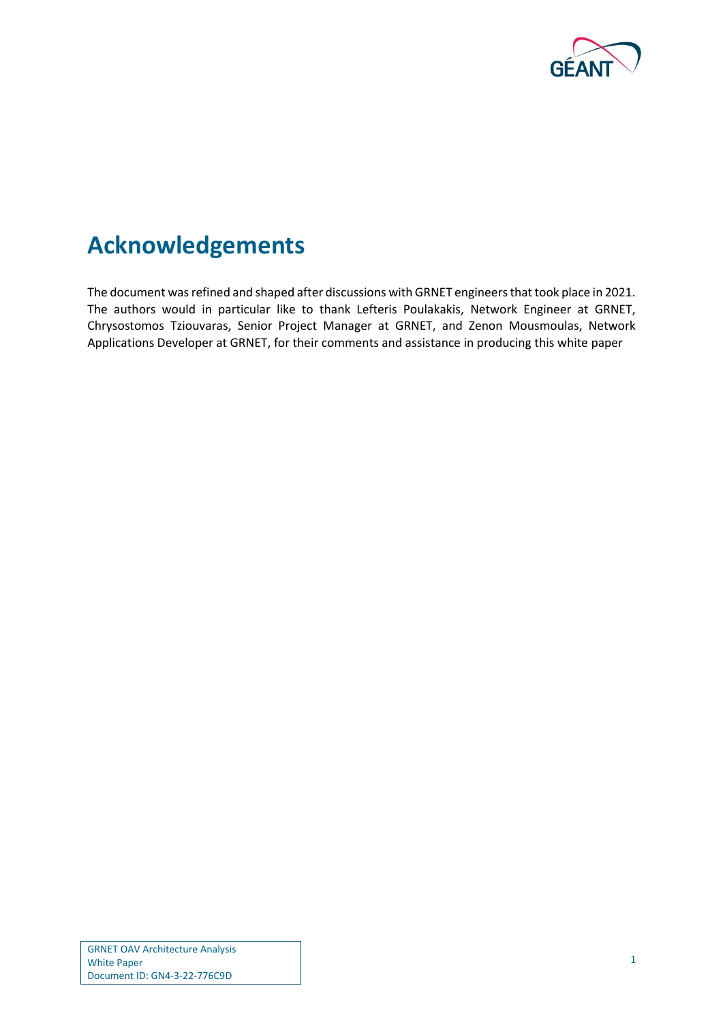

### <span id="page-2-0"></span>**Acknowledgements**

The document was refined and shaped after discussions with GRNET engineers that took place in 2021. The authors would in particular like to thank Lefteris Poulakakis, Network Engineer at GRNET, Chrysostomos Tziouvaras, Senior Project Manager at GRNET, and Zenon Mousmoulas, Network Applications Developer at GRNET, for their comments and assistance in producing this white paper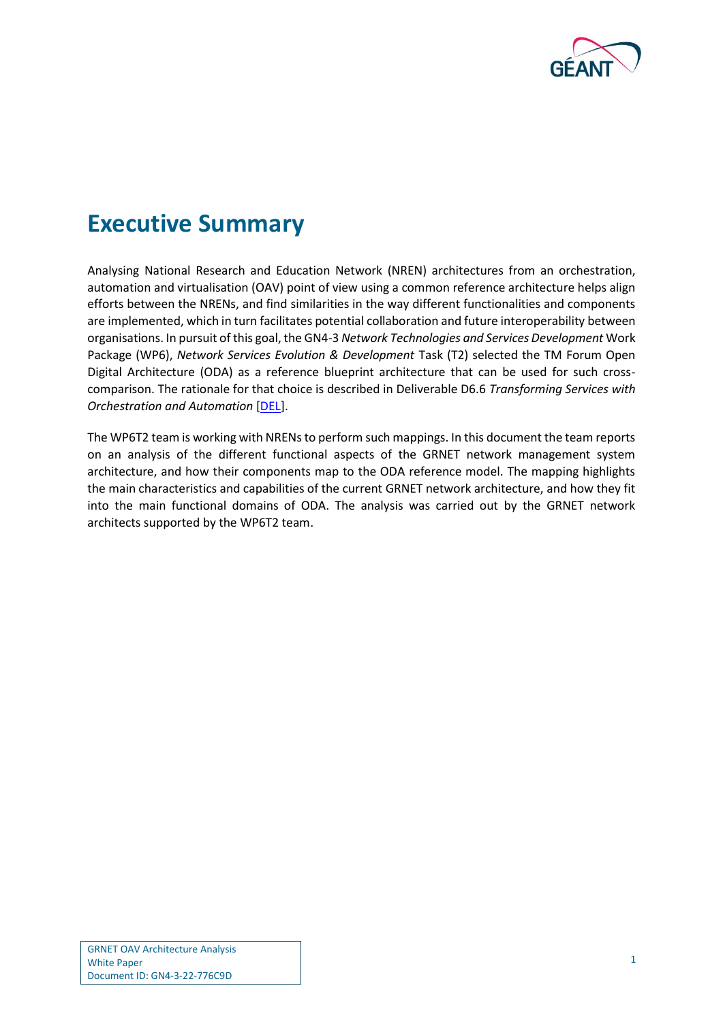

### <span id="page-3-0"></span>**Executive Summary**

Analysing National Research and Education Network (NREN) architectures from an orchestration, automation and virtualisation (OAV) point of view using a common reference architecture helps align efforts between the NRENs, and find similarities in the way different functionalities and components are implemented, which in turn facilitates potential collaboration and future interoperability between organisations. In pursuit of this goal, the GN4-3 *Network Technologies and Services Development* Work Package (WP6), *Network Services Evolution & Development* Task (T2) selected the TM Forum Open Digital Architecture (ODA) as a reference blueprint architecture that can be used for such crosscomparison. The rationale for that choice is described in Deliverable D6.6 *Transforming Services with Orchestration and Automation* [\[DEL\]](#page-14-1).

The WP6T2 team is working with NRENs to perform such mappings. In this document the team reports on an analysis of the different functional aspects of the GRNET network management system architecture, and how their components map to the ODA reference model. The mapping highlights the main characteristics and capabilities of the current GRNET network architecture, and how they fit into the main functional domains of ODA. The analysis was carried out by the GRNET network architects supported by the WP6T2 team.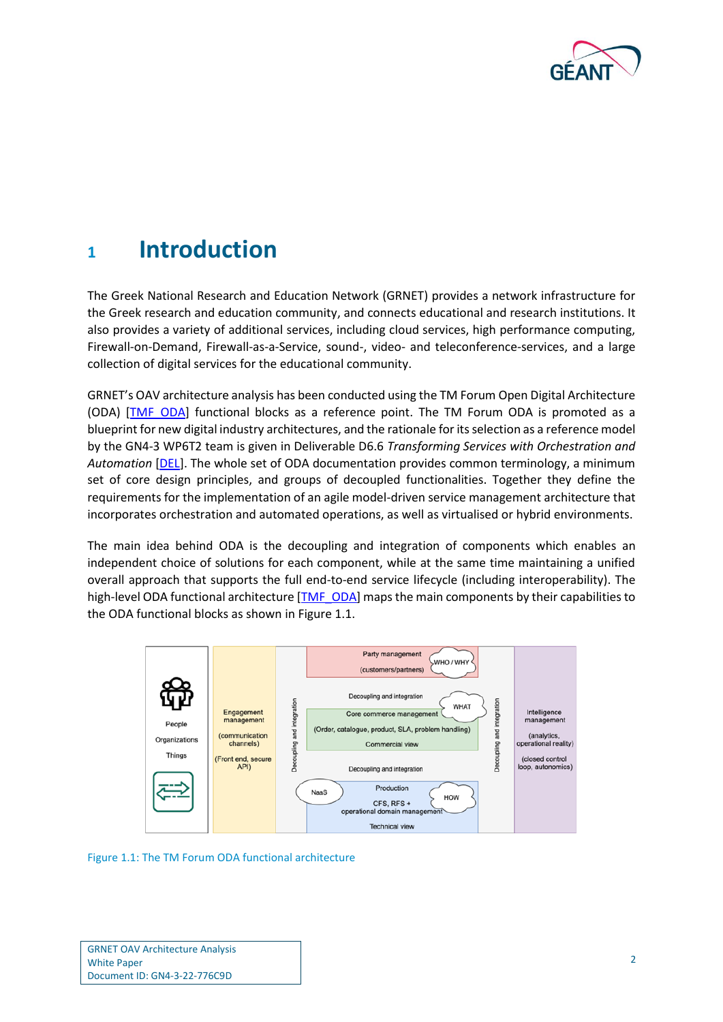

### <span id="page-4-0"></span>**<sup>1</sup> Introduction**

The Greek National Research and Education Network (GRNET) provides a network infrastructure for the Greek research and education community, and connects educational and research institutions. It also provides a variety of additional services, including cloud services, high performance computing, Firewall-on-Demand, Firewall-as-a-Service, sound-, video- and teleconference-services, and a large collection of digital services for the educational community.

GRNET's OAV architecture analysis has been conducted using the TM Forum Open Digital Architecture (ODA) [\[TMF\\_ODA\]](#page-14-2) functional blocks as a reference point. The TM Forum ODA is promoted as a blueprint for new digital industry architectures, and the rationale for its selection as a reference model by the GN4-3 WP6T2 team is given in Deliverable D6.6 *Transforming Services with Orchestration and Automation* [\[DEL\]](#page-14-1). The whole set of ODA documentation provides common terminology, a minimum set of core design principles, and groups of decoupled functionalities. Together they define the requirements for the implementation of an agile model-driven service management architecture that incorporates orchestration and automated operations, as well as virtualised or hybrid environments.

The main idea behind ODA is the decoupling and integration of components which enables an independent choice of solutions for each component, while at the same time maintaining a unified overall approach that supports the full end-to-end service lifecycle (including interoperability). The high-level ODA functional architecture [\[TMF\\_ODA\]](#page-4-0) maps the main components by their capabilities to the ODA functional blocks as shown in [Figure 1.1.](#page-4-1)



<span id="page-4-1"></span>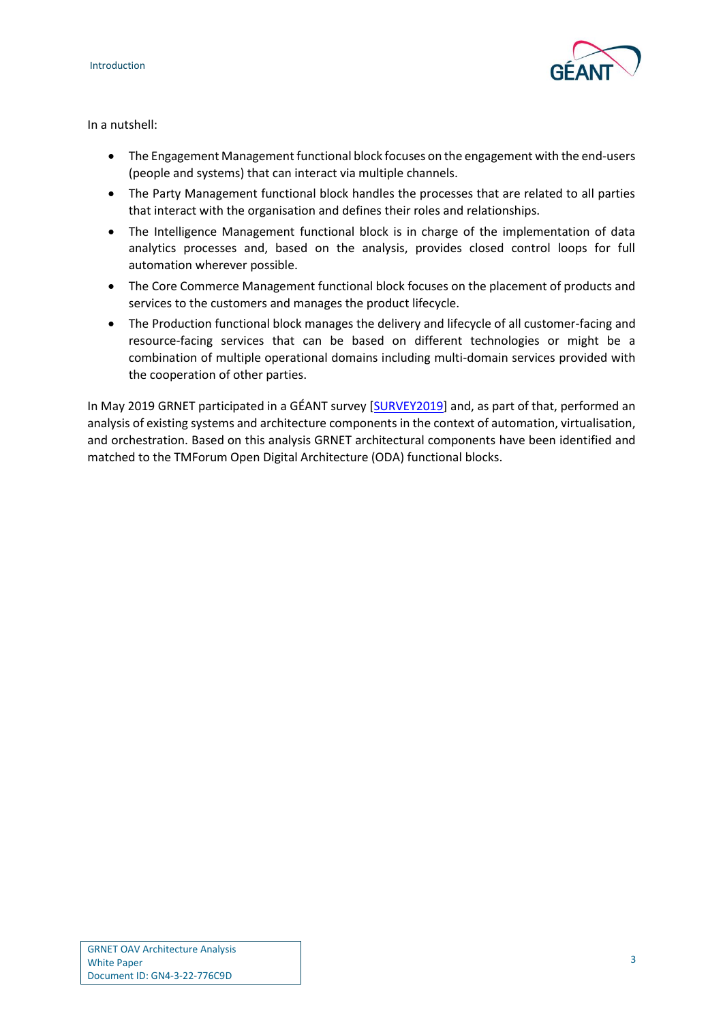

In a nutshell:

- The Engagement Management functional block focuses on the engagement with the end-users (people and systems) that can interact via multiple channels.
- The Party Management functional block handles the processes that are related to all parties that interact with the organisation and defines their roles and relationships.
- The Intelligence Management functional block is in charge of the implementation of data analytics processes and, based on the analysis, provides closed control loops for full automation wherever possible.
- The Core Commerce Management functional block focuses on the placement of products and services to the customers and manages the product lifecycle.
- The Production functional block manages the delivery and lifecycle of all customer-facing and resource-facing services that can be based on different technologies or might be a combination of multiple operational domains including multi-domain services provided with the cooperation of other parties.

In May 2019 GRNET participated in a GÉANT survey [\[SURVEY2019\]](#page-14-3) and, as part of that, performed an analysis of existing systems and architecture components in the context of automation, virtualisation, and orchestration. Based on this analysis GRNET architectural components have been identified and matched to the TMForum Open Digital Architecture (ODA) functional blocks.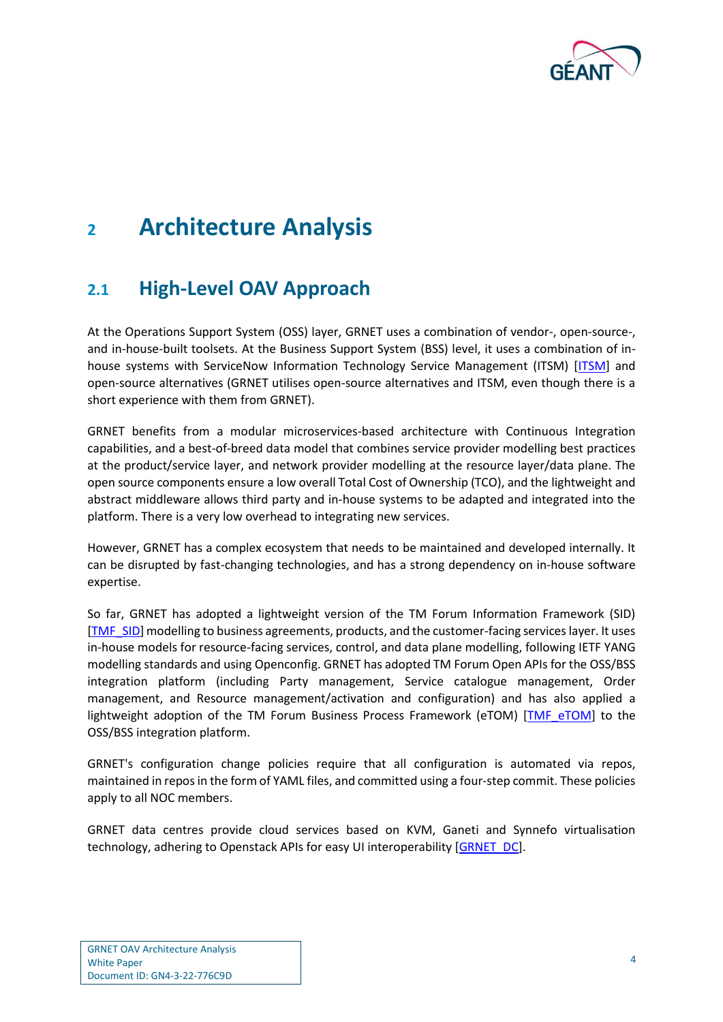

### <span id="page-6-0"></span>**<sup>2</sup> Architecture Analysis**

### <span id="page-6-1"></span>**2.1 High-Level OAV Approach**

At the Operations Support System (OSS) layer, GRNET uses a combination of vendor-, open-source-, and in-house-built toolsets. At the Business Support System (BSS) level, it uses a combination of in-house systems with ServiceNow Information Technology Service Management (ITSM) [\[ITSM\]](#page-14-4) and open-source alternatives (GRNET utilises open-source alternatives and ITSM, even though there is a short experience with them from GRNET).

GRNET benefits from a modular microservices-based architecture with Continuous Integration capabilities, and a best-of-breed data model that combines service provider modelling best practices at the product/service layer, and network provider modelling at the resource layer/data plane. The open source components ensure a low overall Total Cost of Ownership (TCO), and the lightweight and abstract middleware allows third party and in-house systems to be adapted and integrated into the platform. There is a very low overhead to integrating new services.

However, GRNET has a complex ecosystem that needs to be maintained and developed internally. It can be disrupted by fast-changing technologies, and has a strong dependency on in-house software expertise.

So far, GRNET has adopted a lightweight version of the TM Forum Information Framework (SID) [\[TMF\\_SID\]](#page-14-5) modelling to business agreements, products, and the customer-facing services layer. It uses in-house models for resource-facing services, control, and data plane modelling, following IETF YANG modelling standards and using Openconfig. GRNET has adopted TM Forum Open APIs for the OSS/BSS integration platform (including Party management, Service catalogue management, Order management, and Resource management/activation and configuration) and has also applied a lightweight adoption of the TM Forum Business Process Framework (eTOM) [\[TMF\\_eTOM\]](#page-14-6) to the OSS/BSS integration platform.

GRNET's configuration change policies require that all configuration is automated via repos, maintained in repos in the form of YAML files, and committed using a four-step commit. These policies apply to all NOC members.

GRNET data centres provide cloud services based on KVM, Ganeti and Synnefo virtualisation technology, adhering to Openstack APIs for easy UI interoperability [\[GRNET\\_DC\]](#page-14-7).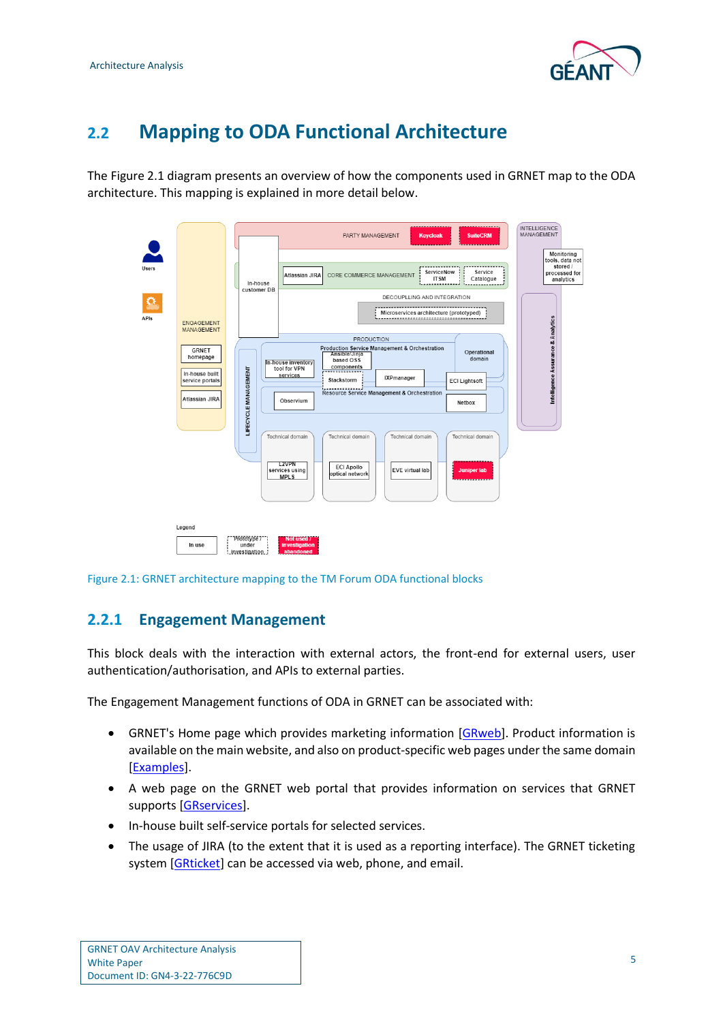

### <span id="page-7-0"></span>**2.2 Mapping to ODA Functional Architecture**

The [Figure 2.1](#page-7-2) diagram presents an overview of how the components used in GRNET map to the ODA architecture. This mapping is explained in more detail below.

|       |                                                                          |  |                                          |                                                                                                          | PARTY MANAGEMENT<br><b>Keycloak</b><br><b>SuiteCRM</b>                                                                                                                                                                                                                                                                | <b>INTELLIGENCE</b><br>MANAGEMENT<br>Monitoring<br>tools, data not |
|-------|--------------------------------------------------------------------------|--|------------------------------------------|----------------------------------------------------------------------------------------------------------|-----------------------------------------------------------------------------------------------------------------------------------------------------------------------------------------------------------------------------------------------------------------------------------------------------------------------|--------------------------------------------------------------------|
| Users |                                                                          |  | In-house                                 |                                                                                                          | ServiceNow<br>Service<br>CORE COMMERCE MANAGEMENT<br>Atlassian JIRA<br><b>ITSM</b><br>Catalogue                                                                                                                                                                                                                       | stored /<br>processed for<br>analytics                             |
| APIs  | <b>ENGAGEMENT</b><br>MANAGEMENT                                          |  | customer DB                              | DECOUPLLING AND INTEGRATION<br>Microservices architecture (prototyped)<br>,,,,,,,,,,,,,,,,,,,,,,,,,,,,,, |                                                                                                                                                                                                                                                                                                                       |                                                                    |
|       | GRNET<br>homepage<br>In-house built<br>service portals<br>Atlassian JIRA |  | LIFECYCLE MANAGEMENT                     |                                                                                                          | <b>PRODUCTION</b><br>Production Service Management & Orchestration<br>Operational<br>Ansible/Jinja<br>domain<br>based OSS<br>[In-house inventory]<br>components<br>tool for VPN<br>services<br>IXPmanager<br>Stackstorm<br><b>ECI Lightsoft</b><br>Resource Service Management & Orchestration<br>Observium<br>Netbox | Intelligence Assurance & Analytics                                 |
|       |                                                                          |  |                                          |                                                                                                          | Technical domain<br>Technical domain<br>Technical domain<br>Technical domain<br><b>L2VPN</b><br><b>ECI Apollo</b><br>EVE virtual lab<br>services using<br><b>Juniper lab</b><br>optical network<br><b>MPLS</b>                                                                                                        |                                                                    |
|       | Legend<br>In use                                                         |  | Prototype 7"<br>under<br>.investigation. |                                                                                                          | Not used 7<br>investigation<br>abandoned                                                                                                                                                                                                                                                                              |                                                                    |

<span id="page-7-2"></span>Figure 2.1: GRNET architecture mapping to the TM Forum ODA functional blocks

#### <span id="page-7-1"></span>**2.2.1 Engagement Management**

This block deals with the interaction with external actors, the front-end for external users, user authentication/authorisation, and APIs to external parties.

The Engagement Management functions of ODA in GRNET can be associated with:

- GRNET's Home page which provides marketing information [\[GRweb\]](#page-14-8). Product information is available on the main website, and also on product-specific web pages under the same domain [\[Examples\]](#page-14-9).
- A web page on the GRNET web portal that provides information on services that GRNET supports [\[GRservices\]](#page-14-10).
- In-house built self-service portals for selected services.
- The usage of JIRA (to the extent that it is used as a reporting interface). The GRNET ticketing system [\[GRticket\]](#page-14-11) can be accessed via web, phone, and email.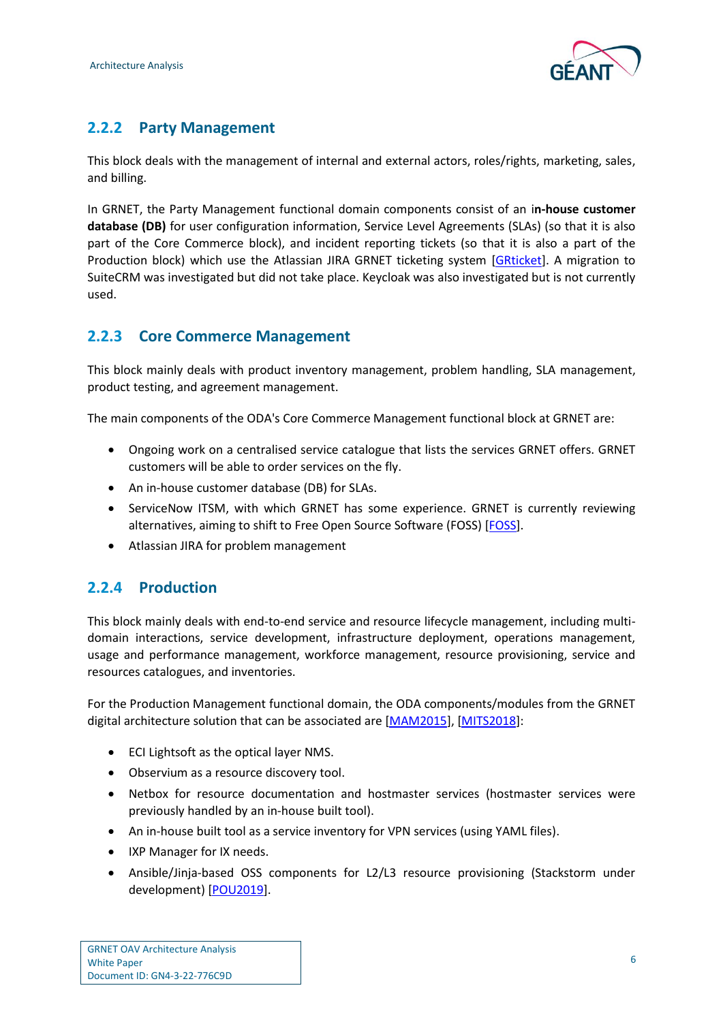

### <span id="page-8-0"></span>**2.2.2 Party Management**

This block deals with the management of internal and external actors, roles/rights, marketing, sales, and billing.

In GRNET, the Party Management functional domain components consist of an i**n-house customer database (DB)** for user configuration information, Service Level Agreements (SLAs) (so that it is also part of the Core Commerce block), and incident reporting tickets (so that it is also a part of the Production block) which use the Atlassian JIRA GRNET ticketing system [\[GRticket\]](#page-14-11). A migration to SuiteCRM was investigated but did not take place. Keycloak was also investigated but is not currently used.

#### <span id="page-8-1"></span>**2.2.3 Core Commerce Management**

This block mainly deals with product inventory management, problem handling, SLA management, product testing, and agreement management.

The main components of the ODA's Core Commerce Management functional block at GRNET are:

- Ongoing work on a centralised service catalogue that lists the services GRNET offers. GRNET customers will be able to order services on the fly.
- An in-house customer database (DB) for SLAs.
- ServiceNow ITSM, with which GRNET has some experience. GRNET is currently reviewing alternatives, aiming to shift to Free Open Source Software (FOSS) [\[FOSS\]](#page-14-12).
- Atlassian JIRA for problem management

#### <span id="page-8-2"></span>**2.2.4 Production**

This block mainly deals with end-to-end service and resource lifecycle management, including multidomain interactions, service development, infrastructure deployment, operations management, usage and performance management, workforce management, resource provisioning, service and resources catalogues, and inventories.

For the Production Management functional domain, the ODA components/modules from the GRNET digital architecture solution that can be associated are [\[MAM2015\]](#page-14-13), [\[MITS2018\]](#page-14-14):

- ECI Lightsoft as the optical layer NMS.
- Observium as a resource discovery tool.
- Netbox for resource documentation and hostmaster services (hostmaster services were previously handled by an in-house built tool).
- An in-house built tool as a service inventory for VPN services (using YAML files).
- IXP Manager for IX needs.
- Ansible/Jinja-based OSS components for L2/L3 resource provisioning (Stackstorm under development) [\[POU2019\]](#page-14-15).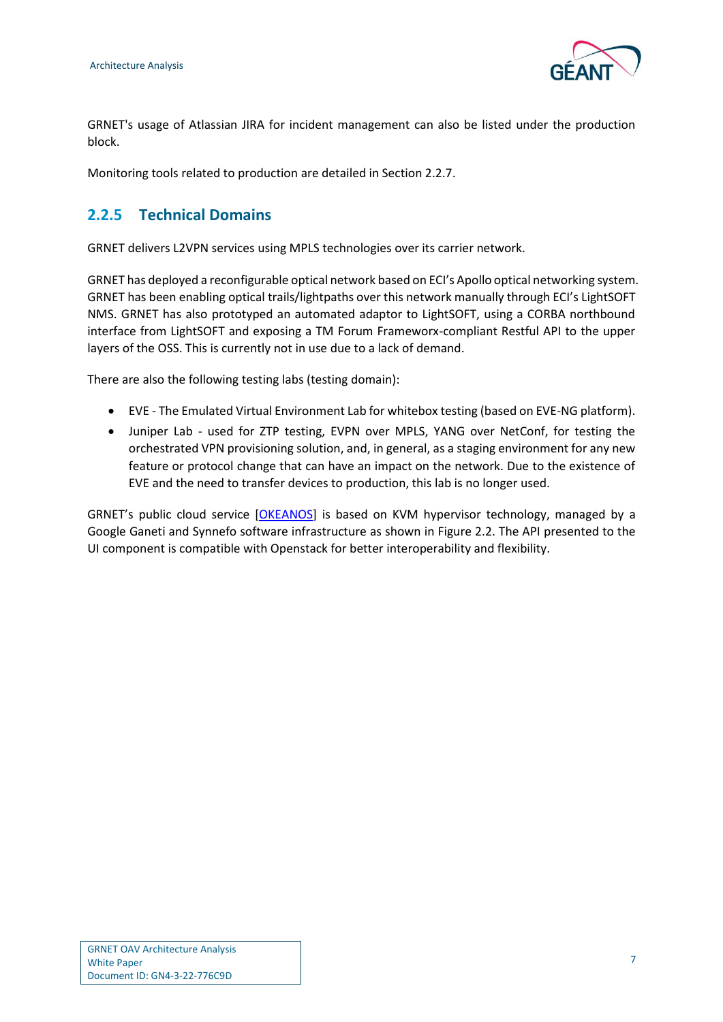

GRNET's usage of Atlassian JIRA for incident management can also be listed under the production block.

Monitoring tools related to production are detailed in Section 2.2.7.

#### <span id="page-9-0"></span>**2.2.5 Technical Domains**

GRNET delivers L2VPN services using MPLS technologies over its carrier network.

GRNET has deployed a reconfigurable optical network based on ECI's Apollo optical networking system. GRNET has been enabling optical trails/lightpaths over this network manually through ECI's LightSOFT NMS. GRNET has also prototyped an automated adaptor to LightSOFT, using a CORBA northbound interface from LightSOFT and exposing a TM Forum Frameworx-compliant Restful API to the upper layers of the OSS. This is currently not in use due to a lack of demand.

There are also the following testing labs (testing domain):

- EVE The Emulated Virtual Environment Lab for whitebox testing (based on EVE-NG platform).
- Juniper Lab used for ZTP testing, EVPN over MPLS, YANG over NetConf, for testing the orchestrated VPN provisioning solution, and, in general, as a staging environment for any new feature or protocol change that can have an impact on the network. Due to the existence of EVE and the need to transfer devices to production, this lab is no longer used.

GRNET's public cloud service [\[OKEANOS\]](#page-14-16) is based on KVM hypervisor technology, managed by a Google Ganeti and Synnefo software infrastructure as shown in [Figure 2.2.](#page-10-1) The API presented to the UI component is compatible with Openstack for better interoperability and flexibility.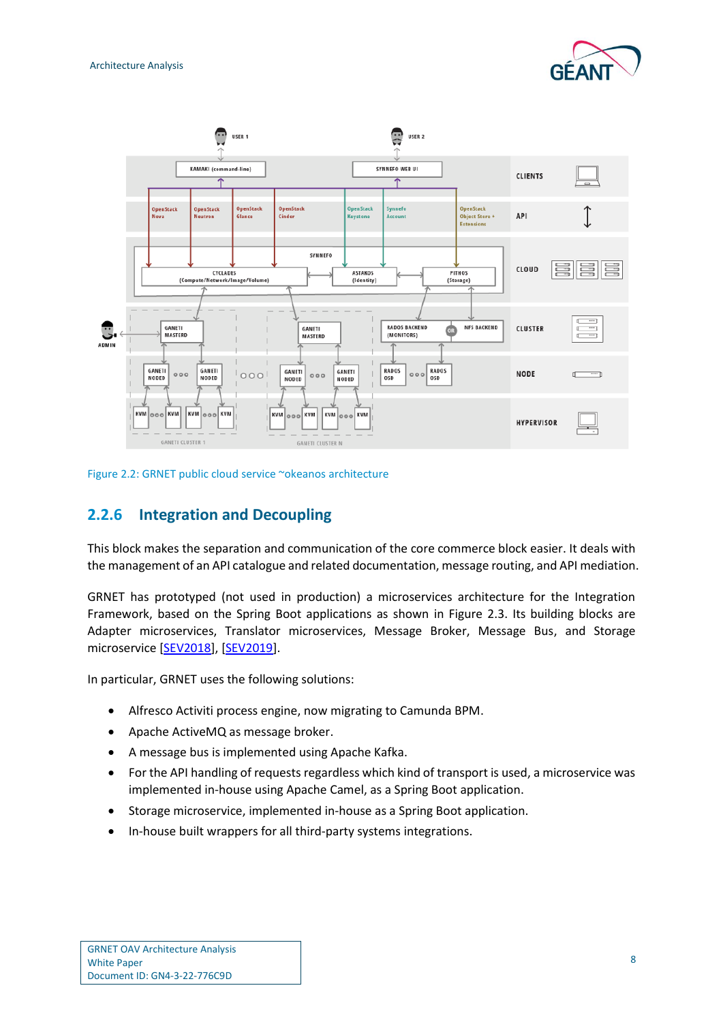



<span id="page-10-1"></span>Figure 2.2: GRNET public cloud service ~okeanos architecture

#### <span id="page-10-0"></span>**2.2.6 Integration and Decoupling**

This block makes the separation and communication of the core commerce block easier. It deals with the management of an API catalogue and related documentation, message routing, and API mediation.

GRNET has prototyped (not used in production) a microservices architecture for the Integration Framework, based on the Spring Boot applications as shown in [Figure 2.3.](#page-11-1) Its building blocks are Adapter microservices, Translator microservices, Message Broker, Message Bus, and Storage microservice [\[SEV2018\]](#page-14-17), [\[SEV2019\]](#page-14-18).

In particular, GRNET uses the following solutions:

- Alfresco Activiti process engine, now migrating to Camunda BPM.
- Apache ActiveMQ as message broker.
- A message bus is implemented using Apache Kafka.
- For the API handling of requests regardless which kind of transport is used, a microservice was implemented in-house using Apache Camel, as a Spring Boot application.
- Storage microservice, implemented in-house as a Spring Boot application.
- In-house built wrappers for all third-party systems integrations.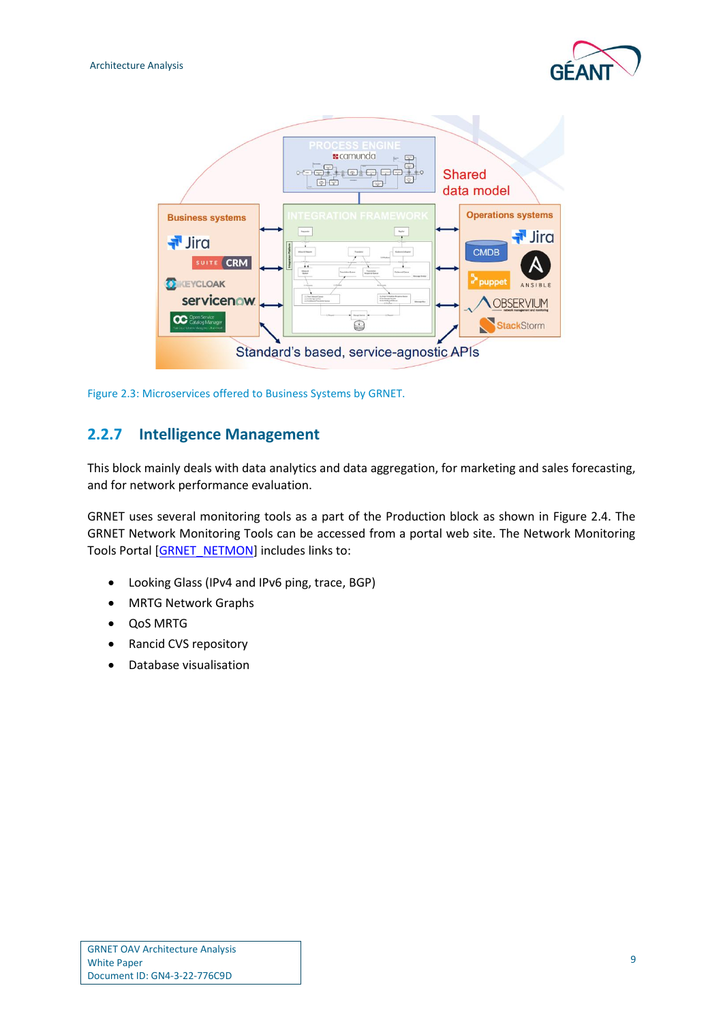



<span id="page-11-1"></span>Figure 2.3: Microservices offered to Business Systems by GRNET.

#### <span id="page-11-0"></span>**2.2.7 Intelligence Management**

This block mainly deals with data analytics and data aggregation, for marketing and sales forecasting, and for network performance evaluation.

GRNET uses several monitoring tools as a part of the Production block as shown in [Figure 2.4.](#page-12-0) The GRNET Network Monitoring Tools can be accessed from a portal web site. The Network Monitoring Tools Portal [\[GRNET\\_NETMON\]](#page-14-19) includes links to:

- Looking Glass (IPv4 and IPv6 ping, trace, BGP)
- MRTG Network Graphs
- QoS MRTG
- Rancid CVS repository
- Database visualisation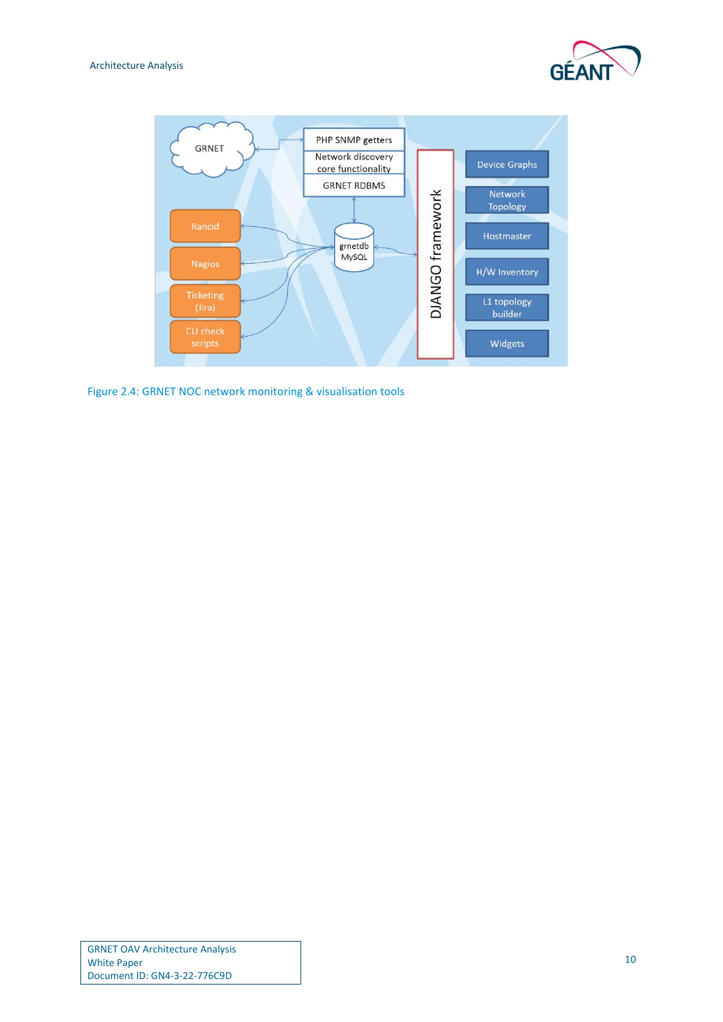



<span id="page-12-0"></span>Figure 2.4: GRNET NOC network monitoring & visualisation tools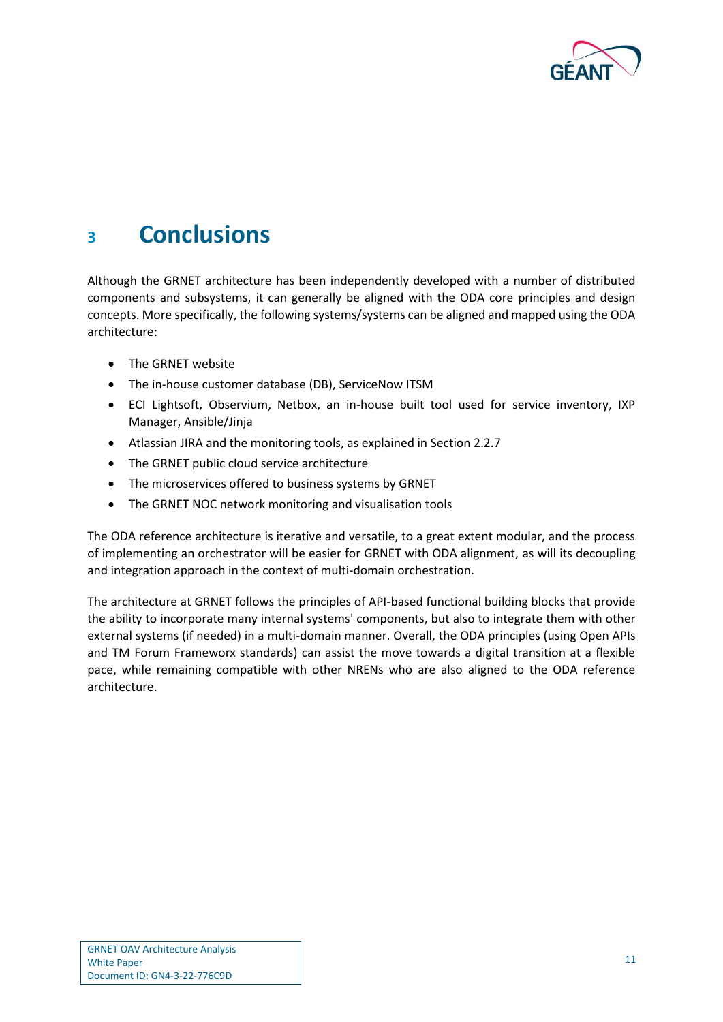

### <span id="page-13-0"></span>**<sup>3</sup> Conclusions**

Although the GRNET architecture has been independently developed with a number of distributed components and subsystems, it can generally be aligned with the ODA core principles and design concepts. More specifically, the following systems/systems can be aligned and mapped using the ODA architecture:

- The GRNET website
- The in-house customer database (DB), ServiceNow ITSM
- ECI Lightsoft, Observium, Netbox, an in-house built tool used for service inventory, IXP Manager, Ansible/Jinja
- Atlassian JIRA and the monitoring tools, as explained in Section 2.2.7
- The GRNET public cloud service architecture
- The microservices offered to business systems by GRNET
- The GRNET NOC network monitoring and visualisation tools

The ODA reference architecture is iterative and versatile, to a great extent modular, and the process of implementing an orchestrator will be easier for GRNET with ODA alignment, as will its decoupling and integration approach in the context of multi-domain orchestration.

The architecture at GRNET follows the principles of API-based functional building blocks that provide the ability to incorporate many internal systems' components, but also to integrate them with other external systems (if needed) in a multi-domain manner. Overall, the ODA principles (using Open APIs and TM Forum Frameworx standards) can assist the move towards a digital transition at a flexible pace, while remaining compatible with other NRENs who are also aligned to the ODA reference architecture.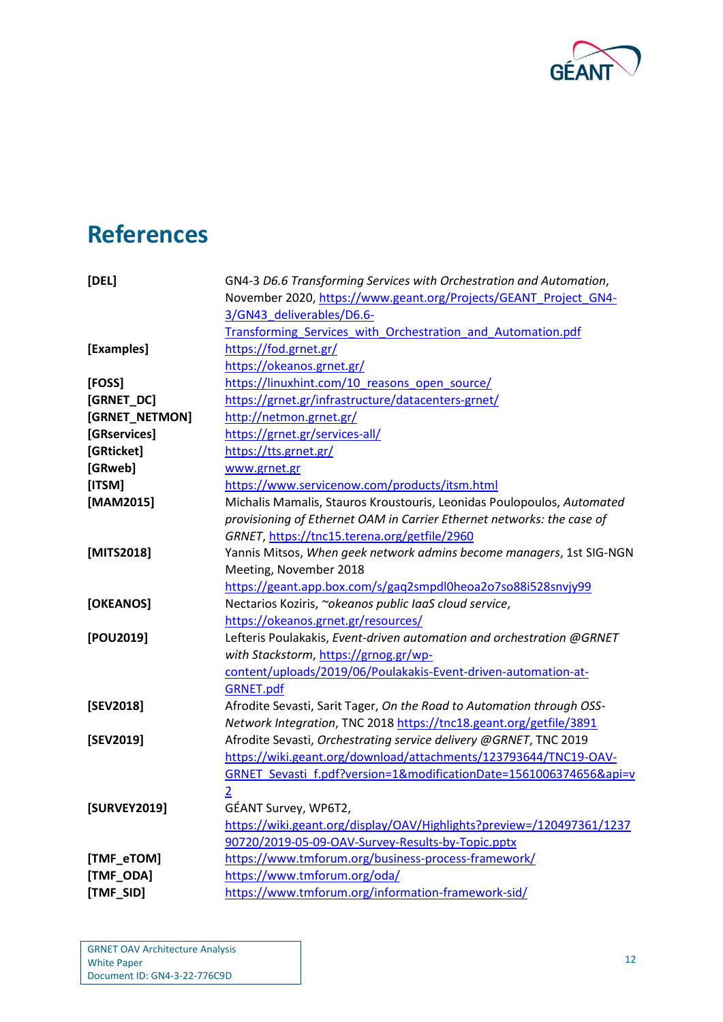

## <span id="page-14-0"></span>**References**

<span id="page-14-19"></span><span id="page-14-18"></span><span id="page-14-17"></span><span id="page-14-16"></span><span id="page-14-15"></span><span id="page-14-14"></span><span id="page-14-13"></span><span id="page-14-12"></span><span id="page-14-11"></span><span id="page-14-10"></span><span id="page-14-9"></span><span id="page-14-8"></span><span id="page-14-7"></span><span id="page-14-6"></span><span id="page-14-5"></span><span id="page-14-4"></span><span id="page-14-3"></span><span id="page-14-2"></span><span id="page-14-1"></span>

| [DEL]          | GN4-3 D6.6 Transforming Services with Orchestration and Automation,    |
|----------------|------------------------------------------------------------------------|
|                | November 2020, https://www.geant.org/Projects/GEANT_Project_GN4-       |
|                | 3/GN43 deliverables/D6.6-                                              |
|                | Transforming Services with Orchestration and Automation.pdf            |
| [Examples]     | https://fod.grnet.gr/                                                  |
|                | https://okeanos.grnet.gr/                                              |
| [FOSS]         | https://linuxhint.com/10 reasons open source/                          |
| [GRNET_DC]     | https://grnet.gr/infrastructure/datacenters-grnet/                     |
| [GRNET_NETMON] | http://netmon.grnet.gr/                                                |
| [GRservices]   | https://grnet.gr/services-all/                                         |
| [GRticket]     | https://tts.grnet.gr/                                                  |
| [GRweb]        | www.grnet.gr                                                           |
| [ITSM]         | https://www.servicenow.com/products/itsm.html                          |
| [MAM2015]      | Michalis Mamalis, Stauros Kroustouris, Leonidas Poulopoulos, Automated |
|                | provisioning of Ethernet OAM in Carrier Ethernet networks: the case of |
|                | GRNET, https://tnc15.terena.org/getfile/2960                           |
| [MITS2018]     | Yannis Mitsos, When geek network admins become managers, 1st SIG-NGN   |
|                | Meeting, November 2018                                                 |
|                | https://geant.app.box.com/s/gaq2smpdl0heoa2o7so88i528snvjy99           |
| [OKEANOS]      | Nectarios Koziris, ~okeanos public laaS cloud service,                 |
|                | https://okeanos.grnet.gr/resources/                                    |
| [POU2019]      | Lefteris Poulakakis, Event-driven automation and orchestration @GRNET  |
|                | with Stackstorm, https://grnog.gr/wp-                                  |
|                | content/uploads/2019/06/Poulakakis-Event-driven-automation-at-         |
|                | <b>GRNET.pdf</b>                                                       |
| [SEV2018]      | Afrodite Sevasti, Sarit Tager, On the Road to Automation through OSS-  |
|                | Network Integration, TNC 2018 https://tnc18.geant.org/getfile/3891     |
| [SEV2019]      | Afrodite Sevasti, Orchestrating service delivery @GRNET, TNC 2019      |
|                | https://wiki.geant.org/download/attachments/123793644/TNC19-OAV-       |
|                | GRNET_Sevasti_f.pdf?version=1&modificationDate=1561006374656&api=v     |
|                | $\overline{2}$                                                         |
| [SURVEY2019]   | GÉANT Survey, WP6T2,                                                   |
|                | https://wiki.geant.org/display/OAV/Highlights?preview=/120497361/1237  |
|                | 90720/2019-05-09-OAV-Survey-Results-by-Topic.pptx                      |
| [TMF_eTOM]     | https://www.tmforum.org/business-process-framework/                    |
| [TMF_ODA]      | https://www.tmforum.org/oda/                                           |
| [TMF_SID]      | https://www.tmforum.org/information-framework-sid/                     |